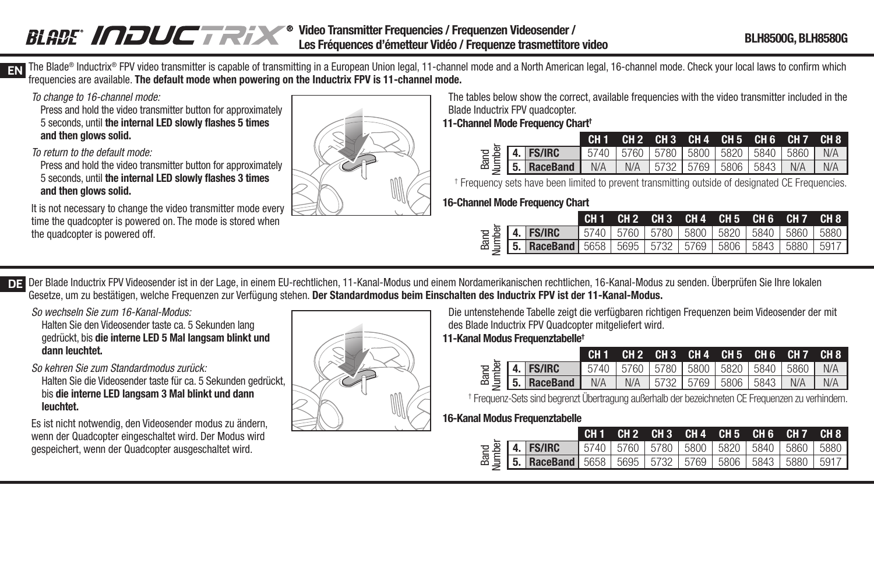#### BLADE INDUCTRIX® **Video Transmitter Frequencies / Frequenzen Videosender / Les Fréquences d'émetteur Vidéo / Frequenze trasmettitore video BLH8500G, BLH8580G**

**EN** The Blade® Inductrix® FPV video transmitter is capable of transmitting in a European Union legal, 11-channel mode and a North American legal, 16-channel mode. Check your local laws to confirm which frequencies are available. **The default mode when powering on the Inductrix FPV is 11-channel mode.**

To change to 16-channel mode:

Press and hold the video transmitter button for approximately 5 seconds, until **the internal LED slowly fl ashes 5 times and then glows solid.**

To return to the default mode:

Press and hold the video transmitter button for approximately 5 seconds, until the internal LED slowly flashes 3 times **and then glows solid.**

It is not necessary to change the video transmitter mode every time the quadcopter is powered on. The mode is stored when the quadcopter is powered off.



The tables below show the correct, available frequencies with the video transmitter included in the Blade Inductrix FPV quadcopter.

**11-Channel Mode Frequency Chart†**

|  |                                                                                                                                                   |  | CH1 CH2 CH3 CH4 CH5 CH6 CH7 CH8 |  |  |
|--|---------------------------------------------------------------------------------------------------------------------------------------------------|--|---------------------------------|--|--|
|  | $\frac{12}{35}$ <b>4. FS/IRC</b> 5740 5760 5780 5800 5820 5840 5860 N/A<br>$\frac{12}{35}$ <b>5. RaceBand</b> N/A N/A 5732 5769 5806 5843 N/A N/A |  |                                 |  |  |
|  |                                                                                                                                                   |  |                                 |  |  |

| Band<br>Jumber                                                                                                                                                                                                                                                                                                                                         | 4.                              | <b>FS/IRC</b>   | 5740            | 5760            | 5780            | 5800            | 5820            | 5840            | 5860            | N/A             |  |  |  |
|--------------------------------------------------------------------------------------------------------------------------------------------------------------------------------------------------------------------------------------------------------------------------------------------------------------------------------------------------------|---------------------------------|-----------------|-----------------|-----------------|-----------------|-----------------|-----------------|-----------------|-----------------|-----------------|--|--|--|
|                                                                                                                                                                                                                                                                                                                                                        | 5.                              | <b>RaceBand</b> | N/A             | N/A             | 5732            | 5769            | 5806            | 5843            | N/A             | N/A             |  |  |  |
| <sup>†</sup> Frequency sets have been limited to prevent transmitting outside of designated CE Frequencies                                                                                                                                                                                                                                             |                                 |                 |                 |                 |                 |                 |                 |                 |                 |                 |  |  |  |
|                                                                                                                                                                                                                                                                                                                                                        | 16-Channel Mode Frequency Chart |                 |                 |                 |                 |                 |                 |                 |                 |                 |  |  |  |
|                                                                                                                                                                                                                                                                                                                                                        |                                 |                 | CH <sub>1</sub> | CH <sub>2</sub> | CH <sub>3</sub> | CH <sub>4</sub> | CH <sub>5</sub> | CH <sub>6</sub> | CH <sub>7</sub> | CH <sub>8</sub> |  |  |  |
| Band<br><b>lumber</b>                                                                                                                                                                                                                                                                                                                                  | 4.                              | <b>FS/IRC</b>   | 5740            | 5760            | 5780            | 5800            | 5820            | 5840            | 5860            | 5880            |  |  |  |
|                                                                                                                                                                                                                                                                                                                                                        |                                 | <b>RaceBand</b> | 5658            | 5695            | 5732            | 5769            | 5806            | 5843            | 5880            | 5917            |  |  |  |
|                                                                                                                                                                                                                                                                                                                                                        |                                 |                 |                 |                 |                 |                 |                 |                 |                 |                 |  |  |  |
| em Nordamerikanischen rechtlichen, 16-Kanal-Modus zu senden. Überprüfen Sie Ihre lokalen<br>chalten des Inductrix FPV ist der 11-Kanal-Modus.<br>Die untenstehende Tabelle zeigt die verfügbaren richtigen Freguenzen beim Videosender der mit<br>des Blade Inductrix FPV Quadcopter mitgeliefert wird.<br>11-Kanal Modus Frequenztabelle <sup>+</sup> |                                 |                 |                 |                 |                 |                 |                 |                 |                 |                 |  |  |  |
|                                                                                                                                                                                                                                                                                                                                                        |                                 |                 | CH <sub>1</sub> | CH <sub>2</sub> | CH <sub>3</sub> | CH <sub>4</sub> | CH <sub>5</sub> | CH <sub>6</sub> | CH <sub>7</sub> | CH <sub>8</sub> |  |  |  |
| Band<br>Jumber                                                                                                                                                                                                                                                                                                                                         | 4.                              | <b>FS/IRC</b>   | 5740            | 5760            | 5780            | 5800            | 5820            | 5840            | 5860            | N/A             |  |  |  |
|                                                                                                                                                                                                                                                                                                                                                        | 5.                              | <b>RaceBand</b> | N/A             | N/A             | 5732            | 5769            | 5806            | 5843            | N/A             | N/A             |  |  |  |
| <sup>†</sup> Frequenz-Sets sind begrenzt Übertragung außerhalb der bezeichneten CE Frequenzen zu verhindern<br>16-Kanal Modus Frequenztabelle                                                                                                                                                                                                          |                                 |                 |                 |                 |                 |                 |                 |                 |                 |                 |  |  |  |
|                                                                                                                                                                                                                                                                                                                                                        |                                 |                 |                 |                 |                 |                 |                 |                 |                 |                 |  |  |  |

**DE** Der Blade Inductrix FPV Videosender ist in der Lage, in einem EU-rechtlichen, 11-Kanal-Modus und einem Nordamerikanischen rechtlichen, 16-Kanal-Modus zu senden. Uberprüfen Sie Ihre lokalen Gesetze, um zu bestätigen, welche Frequenzen zur Verfügung stehen. **Der Standardmodus beim Einschalten des Inductrix FPV ist der 11-Kanal-Modus.**

So wechseln Sie zum 16-Kanal-Modus:

Halten Sie den Videosender taste ca. 5 Sekunden lang gedrückt, bis **die interne LED 5 Mal langsam blinkt und dann leuchtet.**

So kehren Sie zum Standardmodus zurück:

Halten Sie die Videosender taste für ca. 5 Sekunden gedrückt, bis **die interne LED langsam 3 Mal blinkt und dann leuchtet.**

Es ist nicht notwendig, den Videosender modus zu ändern, wenn der Quadcopter eingeschaltet wird. Der Modus wird gespeichert, wenn der Quadcopter ausgeschaltet wird.



# **11-Kanal Modus Frequenztabelle†**

|  |                                                                                                                                                                                 |  |  | CH1 CH2 CH3 CH4 CH5 CH6 CH7 CH8 |  |
|--|---------------------------------------------------------------------------------------------------------------------------------------------------------------------------------|--|--|---------------------------------|--|
|  |                                                                                                                                                                                 |  |  |                                 |  |
|  | $\sum_{x=1}^{10} \frac{10}{3}$ <b>4. FS/IRC</b> 5740 5760 5780 5800 5820 5840 5860 N/A<br>$\sum_{x=1}^{10} \frac{10}{3}$ <b>5. RaceBand</b> N/A N/A 5732 5769 5806 5843 N/A N/A |  |  |                                 |  |

|  |                                                                                                                              |  | ICH1 CH2 CH3 CH4 CH5 CH6 CH7 CH8                      |  |  |
|--|------------------------------------------------------------------------------------------------------------------------------|--|-------------------------------------------------------|--|--|
|  |                                                                                                                              |  | 5740   5760   5780   5800   5820   5840   5860   5880 |  |  |
|  | Pe <b>4. FS/IRC</b> 5740 5760 5780 5800 5820 5840 5860 5880<br>Be <b>5. RaceBand</b> 5658 5695 5732 5769 5806 5843 5880 5917 |  |                                                       |  |  |